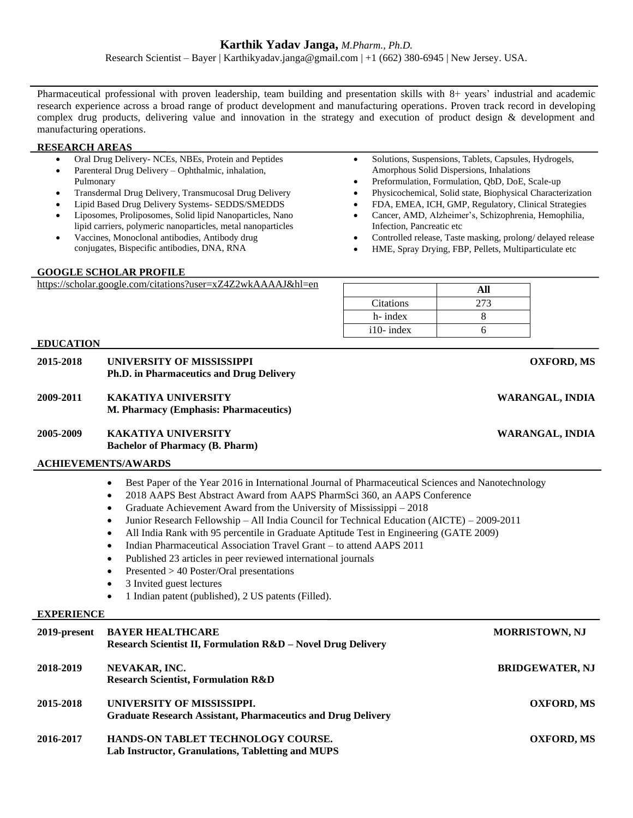Research Scientist – Bayer | Karthikyadav.janga@gmail.com | +1 (662) 380-6945 | New Jersey. USA.

Pharmaceutical professional with proven leadership, team building and presentation skills with 8+ years' industrial and academic research experience across a broad range of product development and manufacturing operations. Proven track record in developing complex drug products, delivering value and innovation in the strategy and execution of product design & development and manufacturing operations.

### **RESEARCH AREAS**

| Oral Drug Delivery- NCEs, NBEs, Protein and Peptides |  |
|------------------------------------------------------|--|
|------------------------------------------------------|--|

- Parenteral Drug Delivery Ophthalmic, inhalation, Pulmonary
- Transdermal Drug Delivery, Transmucosal Drug Delivery
- Lipid Based Drug Delivery Systems- SEDDS/SMEDDS
- Liposomes, Proliposomes, Solid lipid Nanoparticles, Nano lipid carriers, polymeric nanoparticles, metal nanoparticles
- Vaccines, Monoclonal antibodies, Antibody drug conjugates, Bispecific antibodies, DNA, RNA

### **GOOGLE SCHOLAR PROFILE**

| $\bullet$ | Solutions, Suspensions, Tablets, Capsules, Hydrogels, |
|-----------|-------------------------------------------------------|
|           | Amorphous Solid Dispersions, Inhalations              |
| $\bullet$ | Preformulation, Formulation, ObD, DoE, Scale-up       |

- Physicochemical, Solid state, Biophysical Characterization
- FDA, EMEA, ICH, GMP, Regulatory, Clinical Strategies
- Cancer, AMD, Alzheimer's, Schizophrenia, Hemophilia, Infection, Pancreatic etc
- Controlled release, Taste masking, prolong/ delayed release
- HME, Spray Drying, FBP, Pellets, Multiparticulate etc

| https://scholar.google.com/citations?user=xZ4Z2wkAAAAJ&hl=en |  |
|--------------------------------------------------------------|--|
|                                                              |  |

| <b>Citations</b> | 273 |
|------------------|-----|
| h-index          |     |
| $i10$ - index    |     |

| 2015-2018         | UNIVERSITY OF MISSISSIPPI<br>Ph.D. in Pharmaceutics and Drug Delivery                                                                                                                                                                                                                                                                                                                                                                                                                                                                                                                                                                                                                                                                                                                                                                            | <b>OXFORD, MS</b>      |  |  |  |
|-------------------|--------------------------------------------------------------------------------------------------------------------------------------------------------------------------------------------------------------------------------------------------------------------------------------------------------------------------------------------------------------------------------------------------------------------------------------------------------------------------------------------------------------------------------------------------------------------------------------------------------------------------------------------------------------------------------------------------------------------------------------------------------------------------------------------------------------------------------------------------|------------------------|--|--|--|
| 2009-2011         | <b>KAKATIYA UNIVERSITY</b><br>M. Pharmacy (Emphasis: Pharmaceutics)                                                                                                                                                                                                                                                                                                                                                                                                                                                                                                                                                                                                                                                                                                                                                                              | WARANGAL, INDIA        |  |  |  |
| 2005-2009         | <b>KAKATIYA UNIVERSITY</b><br><b>Bachelor of Pharmacy (B. Pharm)</b>                                                                                                                                                                                                                                                                                                                                                                                                                                                                                                                                                                                                                                                                                                                                                                             | <b>WARANGAL, INDIA</b> |  |  |  |
|                   | <b>ACHIEVEMENTS/AWARDS</b>                                                                                                                                                                                                                                                                                                                                                                                                                                                                                                                                                                                                                                                                                                                                                                                                                       |                        |  |  |  |
|                   | Best Paper of the Year 2016 in International Journal of Pharmaceutical Sciences and Nanotechnology<br>$\bullet$<br>2018 AAPS Best Abstract Award from AAPS PharmSci 360, an AAPS Conference<br>$\bullet$<br>Graduate Achievement Award from the University of Mississippi - 2018<br>$\bullet$<br>Junior Research Fellowship - All India Council for Technical Education (AICTE) - 2009-2011<br>$\bullet$<br>All India Rank with 95 percentile in Graduate Aptitude Test in Engineering (GATE 2009)<br>$\bullet$<br>Indian Pharmaceutical Association Travel Grant – to attend AAPS 2011<br>$\bullet$<br>Published 23 articles in peer reviewed international journals<br>$\bullet$<br>Presented > 40 Poster/Oral presentations<br>٠<br>3 Invited guest lectures<br>$\bullet$<br>1 Indian patent (published), 2 US patents (Filled).<br>$\bullet$ |                        |  |  |  |
| <b>EXPERIENCE</b> |                                                                                                                                                                                                                                                                                                                                                                                                                                                                                                                                                                                                                                                                                                                                                                                                                                                  |                        |  |  |  |
| 2019-present      | <b>BAYER HEALTHCARE</b><br>Research Scientist II, Formulation R&D - Novel Drug Delivery                                                                                                                                                                                                                                                                                                                                                                                                                                                                                                                                                                                                                                                                                                                                                          | <b>MORRISTOWN, NJ</b>  |  |  |  |
| 2018-2019         | NEVAKAR, INC.<br><b>Research Scientist, Formulation R&amp;D</b>                                                                                                                                                                                                                                                                                                                                                                                                                                                                                                                                                                                                                                                                                                                                                                                  | <b>BRIDGEWATER, NJ</b> |  |  |  |
| 2015-2018         | UNIVERSITY OF MISSISSIPPI.<br><b>Graduate Research Assistant, Pharmaceutics and Drug Delivery</b>                                                                                                                                                                                                                                                                                                                                                                                                                                                                                                                                                                                                                                                                                                                                                | <b>OXFORD, MS</b>      |  |  |  |
| 2016-2017         | HANDS-ON TABLET TECHNOLOGY COURSE.<br>Lab Instructor, Granulations, Tabletting and MUPS                                                                                                                                                                                                                                                                                                                                                                                                                                                                                                                                                                                                                                                                                                                                                          | <b>OXFORD, MS</b>      |  |  |  |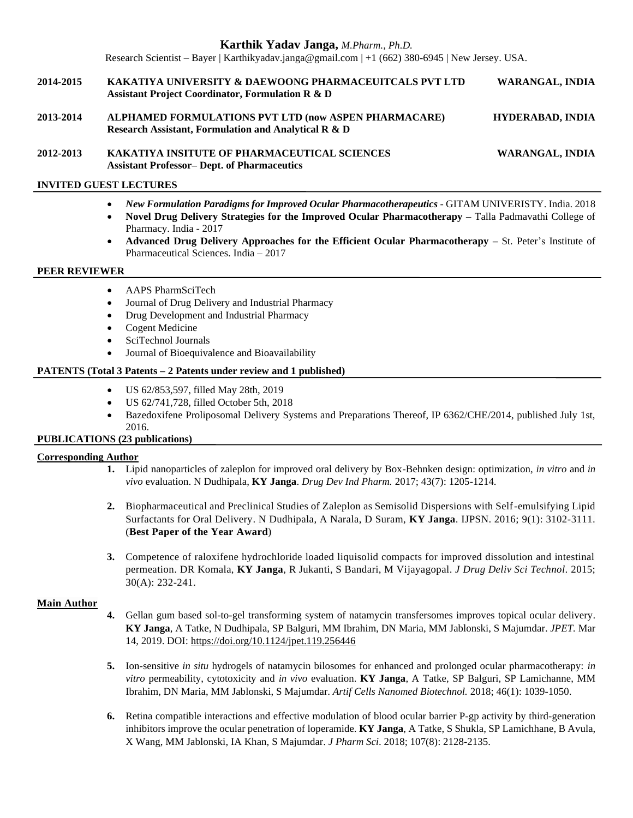Research Scientist – Bayer | Karthikyadav.janga@gmail.com | +1 (662) 380-6945 | New Jersey. USA.

- **2014-2015 KAKATIYA UNIVERSITY & DAEWOONG PHARMACEUITCALS PVT LTD WARANGAL, INDIA Assistant Project Coordinator, Formulation R & D**
- **2013-2014 ALPHAMED FORMULATIONS PVT LTD (now ASPEN PHARMACARE) HYDERABAD, INDIA Research Assistant, Formulation and Analytical R & D**
- **2012-2013 KAKATIYA INSITUTE OF PHARMACEUTICAL SCIENCES WARANGAL, INDIA Assistant Professor– Dept. of Pharmaceutics**

### **INVITED GUEST LECTURES**

- *New Formulation Paradigms for Improved Ocular Pharmacotherapeutics* GITAM UNIVERISTY. India. 2018
- **Novel Drug Delivery Strategies for the Improved Ocular Pharmacotherapy –** Talla Padmavathi College of Pharmacy. India - 2017
- **Advanced Drug Delivery Approaches for the Efficient Ocular Pharmacotherapy –** St. Peter's Institute of Pharmaceutical Sciences. India – 2017

### **PEER REVIEWER**

- AAPS PharmSciTech
- Journal of Drug Delivery and Industrial Pharmacy
- Drug Development and Industrial Pharmacy
- Cogent Medicine
- SciTechnol Journals
- Journal of Bioequivalence and Bioavailability

### **PATENTS (Total 3 Patents – 2 Patents under review and 1 published)**

- US 62/853,597, filled May 28th, 2019
- US 62/741,728, filled October 5th, 2018
- Bazedoxifene Proliposomal Delivery Systems and Preparations Thereof, IP 6362/CHE/2014, published July 1st, 2016.

# **PUBLICATIONS (23 publications)**

#### **Corresponding Author**

- **1.** Lipid nanoparticles of zaleplon for improved oral delivery by Box-Behnken design: optimization, *in vitro* and *in vivo* evaluation. N Dudhipala, **KY Janga**. *Drug Dev Ind Pharm.* 2017; 43(7): 1205-1214.
- **2.** Biopharmaceutical and Preclinical Studies of Zaleplon as Semisolid Dispersions with Self-emulsifying Lipid Surfactants for Oral Delivery. N Dudhipala, A Narala, D Suram, **KY Janga**. IJPSN. 2016; 9(1): 3102-3111. (**Best Paper of the Year Award**)
- **3.** Competence of raloxifene hydrochloride loaded liquisolid compacts for improved dissolution and intestinal permeation. DR Komala, **KY Janga**, R Jukanti, S Bandari, M Vijayagopal. *J Drug Deliv Sci Technol.* 2015; 30(A): 232-241.

#### **Main Author**

- **4.** Gellan gum based sol-to-gel transforming system of natamycin transfersomes improves topical ocular delivery. **KY Janga**, A Tatke, N Dudhipala, SP Balguri, MM Ibrahim, DN Maria, MM Jablonski, S Majumdar. *JPET.* Mar 14, 2019. DOI: <https://doi.org/10.1124/jpet.119.256446>
- **5.** Ion-sensitive *in situ* hydrogels of natamycin bilosomes for enhanced and prolonged ocular pharmacotherapy: *in vitro* permeability, cytotoxicity and *in vivo* evaluation. **KY Janga**, A Tatke, SP Balguri, SP Lamichanne, MM Ibrahim, DN Maria, MM Jablonski, S Majumdar. *Artif Cells Nanomed Biotechnol.* 2018; 46(1): 1039-1050.
- **6.** Retina compatible interactions and effective modulation of blood ocular barrier P-gp activity by third-generation inhibitors improve the ocular penetration of loperamide. **KY Janga**, A Tatke, S Shukla, SP Lamichhane, B Avula, X Wang, MM Jablonski, IA Khan, S Majumdar. *J Pharm Sci*. 2018; 107(8): 2128-2135.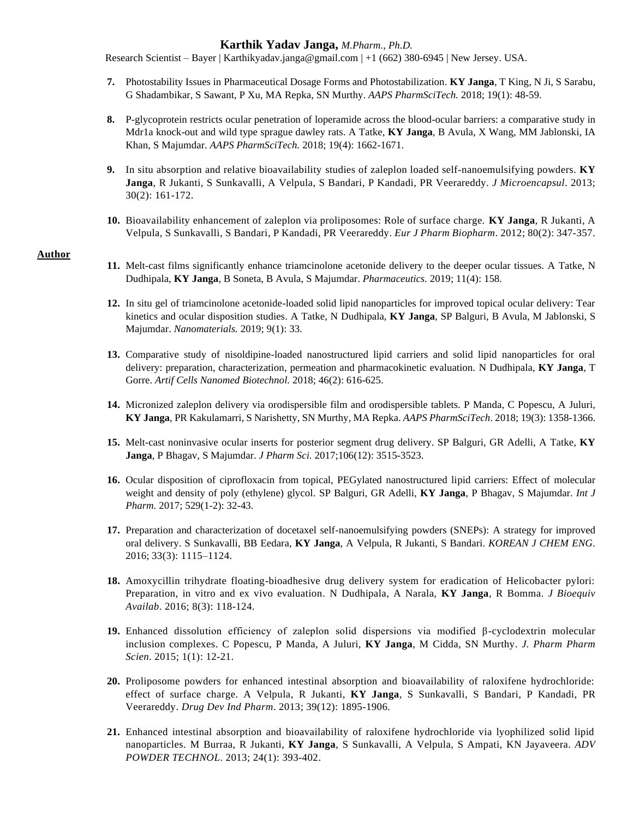Research Scientist – Bayer | Karthikyadav.janga@gmail.com | +1 (662) 380-6945 | New Jersey. USA.

- **7.** Photostability Issues in Pharmaceutical Dosage Forms and Photostabilization. **KY Janga**, T King, N Ji, S Sarabu, G Shadambikar, S Sawant, P Xu, MA Repka, SN Murthy. *AAPS PharmSciTech.* 2018; 19(1): 48-59.
- **8.** P-glycoprotein restricts ocular penetration of loperamide across the blood-ocular barriers: a comparative study in Mdr1a knock-out and wild type sprague dawley rats. A Tatke, **KY Janga**, B Avula, X Wang, MM Jablonski, IA Khan, S Majumdar. *AAPS PharmSciTech.* 2018; 19(4): 1662-1671.
- **9.** In situ absorption and relative bioavailability studies of zaleplon loaded self-nanoemulsifying powders. **KY Janga**, R Jukanti, S Sunkavalli, A Velpula, S Bandari, P Kandadi, PR Veerareddy. *J Microencapsul*. 2013; 30(2): 161-172.
- **10.** Bioavailability enhancement of zaleplon via proliposomes: Role of surface charge. **KY Janga**, R Jukanti, A Velpula, S Sunkavalli, S Bandari, P Kandadi, PR Veerareddy. *Eur J Pharm Biopharm*. 2012; 80(2): 347-357.

#### **Author**

- **11.** Melt-cast films significantly enhance triamcinolone acetonide delivery to the deeper ocular tissues. A Tatke, N Dudhipala, **KY Janga**, B Soneta, B Avula, S Majumdar. *Pharmaceutics.* 2019; 11(4): 158.
- **12.** In situ gel of triamcinolone acetonide-loaded solid lipid nanoparticles for improved topical ocular delivery: Tear kinetics and ocular disposition studies. A Tatke, N Dudhipala, **KY Janga**, SP Balguri, B Avula, M Jablonski, S Majumdar. *Nanomaterials.* 2019; 9(1): 33.
- **13.** Comparative study of nisoldipine-loaded nanostructured lipid carriers and solid lipid nanoparticles for oral delivery: preparation, characterization, permeation and pharmacokinetic evaluation. N Dudhipala, **KY Janga**, T Gorre. *Artif Cells Nanomed Biotechnol.* 2018; 46(2): 616-625.
- **14.** Micronized zaleplon delivery via orodispersible film and orodispersible tablets. P Manda, C Popescu, A Juluri, **KY Janga**, PR Kakulamarri, S Narishetty, SN Murthy, MA Repka. *AAPS PharmSciTech*. 2018; 19(3): 1358-1366.
- **15.** Melt-cast noninvasive ocular inserts for posterior segment drug delivery. SP Balguri, GR Adelli, A Tatke, **KY Janga**, P Bhagav, S Majumdar. *J Pharm Sci.* 2017;106(12): 3515-3523.
- **16.** Ocular disposition of ciprofloxacin from topical, PEGylated nanostructured lipid carriers: Effect of molecular weight and density of poly (ethylene) glycol. SP Balguri, GR Adelli, **KY Janga**, P Bhagav, S Majumdar. *Int J Pharm.* 2017; 529(1-2): 32-43.
- **17.** Preparation and characterization of docetaxel self-nanoemulsifying powders (SNEPs): A strategy for improved oral delivery. S Sunkavalli, BB Eedara, **KY Janga**, A Velpula, R Jukanti, S Bandari. *KOREAN J CHEM ENG*. 2016; 33(3): 1115–1124.
- **18.** Amoxycillin trihydrate floating-bioadhesive drug delivery system for eradication of Helicobacter pylori: Preparation, in vitro and ex vivo evaluation. N Dudhipala, A Narala, **KY Janga**, R Bomma. *J Bioequiv Availab*. 2016; 8(3): 118-124.
- **19.** Enhanced dissolution efficiency of zaleplon solid dispersions via modified β-cyclodextrin molecular inclusion complexes. C Popescu, P Manda, A Juluri, **KY Janga**, M Cidda, SN Murthy. *J. Pharm Pharm Scien*. 2015; 1(1): 12-21.
- **20.** Proliposome powders for enhanced intestinal absorption and bioavailability of raloxifene hydrochloride: effect of surface charge. A Velpula, R Jukanti, **KY Janga**, S Sunkavalli, S Bandari, P Kandadi, PR Veerareddy. *Drug Dev Ind Pharm*. 2013; 39(12): 1895-1906.
- **21.** Enhanced intestinal absorption and bioavailability of raloxifene hydrochloride via lyophilized solid lipid nanoparticles. M Burraa, R Jukanti, **KY Janga**, S Sunkavalli, A Velpula, S Ampati, KN Jayaveera. *ADV POWDER TECHNOL*. 2013; 24(1): 393-402.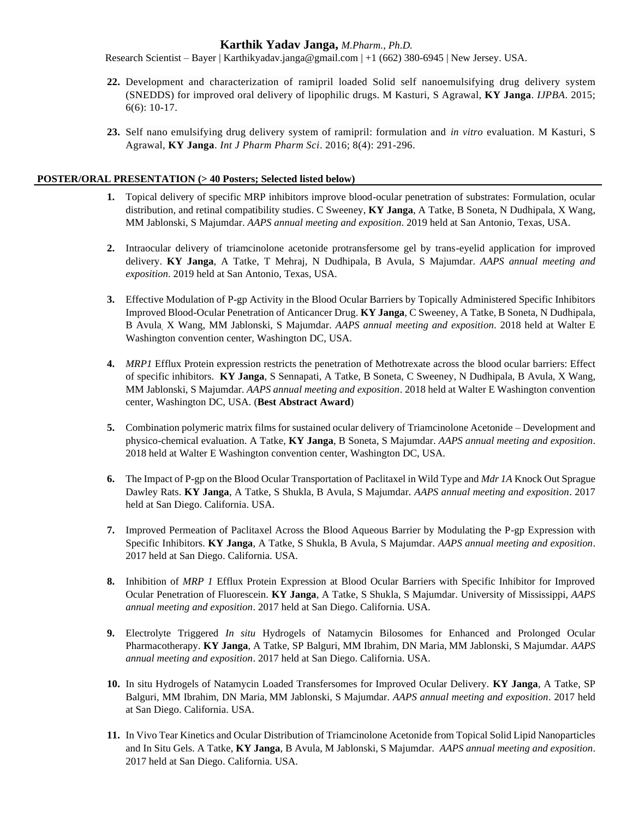Research Scientist – Bayer | Karthikyadav.janga@gmail.com | +1 (662) 380-6945 | New Jersey. USA.

- **22.** Development and characterization of ramipril loaded Solid self nanoemulsifying drug delivery system (SNEDDS) for improved oral delivery of lipophilic drugs. M Kasturi, S Agrawal, **KY Janga**. *IJPBA*. 2015; 6(6): 10-17.
- **23.** Self nano emulsifying drug delivery system of ramipril: formulation and *in vitro* evaluation. M Kasturi, S Agrawal, **KY Janga**. *Int J Pharm Pharm Sci*. 2016; 8(4): 291-296.

### **POSTER/ORAL PRESENTATION (> 40 Posters; Selected listed below)**

- **1.** Topical delivery of specific MRP inhibitors improve blood-ocular penetration of substrates: Formulation, ocular distribution, and retinal compatibility studies. C Sweeney, **KY Janga**, A Tatke, B Soneta, N Dudhipala, X Wang, MM Jablonski, S Majumdar. *AAPS annual meeting and exposition*. 2019 held at San Antonio, Texas, USA.
- **2.** Intraocular delivery of triamcinolone acetonide protransfersome gel by trans-eyelid application for improved delivery. **KY Janga**, A Tatke, T Mehraj, N Dudhipala, B Avula, S Majumdar. *AAPS annual meeting and exposition*. 2019 held at San Antonio, Texas, USA.
- **3.** Effective Modulation of P-gp Activity in the Blood Ocular Barriers by Topically Administered Specific Inhibitors Improved Blood-Ocular Penetration of Anticancer Drug. **KY Janga**, C Sweeney, A Tatke, B Soneta, N Dudhipala, B Avula, X Wang, MM Jablonski, S Majumdar. *AAPS annual meeting and exposition*. 2018 held at Walter E Washington convention center, Washington DC, USA.
- **4.** *MRP1* Efflux Protein expression restricts the penetration of Methotrexate across the blood ocular barriers: Effect of specific inhibitors. **KY Janga**, S Sennapati, A Tatke, B Soneta, C Sweeney, N Dudhipala, B Avula, X Wang, MM Jablonski, S Majumdar. *AAPS annual meeting and exposition*. 2018 held at Walter E Washington convention center, Washington DC, USA. (**Best Abstract Award**)
- **5.** Combination polymeric matrix films for sustained ocular delivery of Triamcinolone Acetonide Development and physico-chemical evaluation. A Tatke, **KY Janga**, B Soneta, S Majumdar. *AAPS annual meeting and exposition*. 2018 held at Walter E Washington convention center, Washington DC, USA.
- **6.** The Impact of P-gp on the Blood Ocular Transportation of Paclitaxel in Wild Type and *Mdr 1A* Knock Out Sprague Dawley Rats. **KY Janga**, A Tatke, S Shukla, B Avula, S Majumdar. *AAPS annual meeting and exposition*. 2017 held at San Diego. California. USA.
- **7.** Improved Permeation of Paclitaxel Across the Blood Aqueous Barrier by Modulating the P-gp Expression with Specific Inhibitors. **KY Janga**, A Tatke, S Shukla, B Avula, S Majumdar. *AAPS annual meeting and exposition*. 2017 held at San Diego. California. USA.
- **8.** Inhibition of *MRP 1* Efflux Protein Expression at Blood Ocular Barriers with Specific Inhibitor for Improved Ocular Penetration of Fluorescein. **KY Janga**, A Tatke, S Shukla, S Majumdar. University of Mississippi, *AAPS annual meeting and exposition*. 2017 held at San Diego. California. USA.
- **9.** Electrolyte Triggered *In situ* Hydrogels of Natamycin Bilosomes for Enhanced and Prolonged Ocular Pharmacotherapy. **KY Janga**, A Tatke, SP Balguri, MM Ibrahim, DN Maria, MM Jablonski, S Majumdar. *AAPS annual meeting and exposition*. 2017 held at San Diego. California. USA.
- **10.** In situ Hydrogels of Natamycin Loaded Transfersomes for Improved Ocular Delivery. **KY Janga**, A Tatke, SP Balguri, MM Ibrahim, DN Maria, MM Jablonski, S Majumdar. *AAPS annual meeting and exposition*. 2017 held at San Diego. California. USA.
- **11.** In Vivo Tear Kinetics and Ocular Distribution of Triamcinolone Acetonide from Topical Solid Lipid Nanoparticles and In Situ Gels. A Tatke, **KY Janga**, B Avula, M Jablonski, S Majumdar. *AAPS annual meeting and exposition*. 2017 held at San Diego. California. USA.